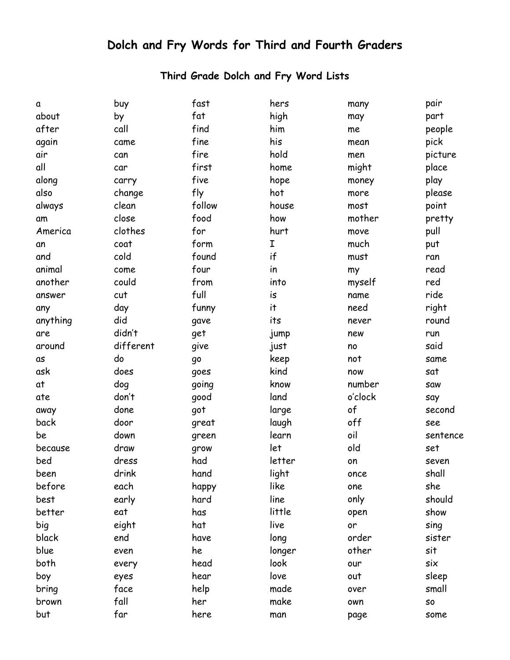## **Dolch and Fry Words for Third and Fourth Graders**

## **Third Grade Dolch and Fry Word Lists**

| $\mathbf a$ | buy       | fast   | hers   | many    | pair     |
|-------------|-----------|--------|--------|---------|----------|
| about       | by        | fat    | high   | may     | part     |
| after       | call      | find   | him    | me      | people   |
| again       | came      | fine   | his    | mean    | pick     |
| air         | can       | fire   | hold   | men     | picture  |
| all         | car       | first  | home   | might   | place    |
| along       | carry     | five   | hope   | money   | play     |
| also        | change    | fly    | hot    | more    | please   |
| always      | clean     | follow | house  | most    | point    |
| am          | close     | food   | how    | mother  | pretty   |
| America     | clothes   | for    | hurt   | move    | pull     |
| an          | coat      | form   | Ι      | much    | put      |
| and         | cold      | found  | if     | must    | ran      |
| animal      | come      | four   | in     | my      | read     |
| another     | could     | from   | into   | myself  | red      |
| answer      | cut       | full   | is     | name    | ride     |
| any         | day       | funny  | it.    | need    | right    |
| anything    | did       | gave   | its    | never   | round    |
| are         | didn't    | get    | jump   | new     | run      |
| around      | different | give   | just   | no      | said     |
| αs          | do        | go     | keep   | not     | same     |
| ask         | does      | goes   | kind   | now     | sat      |
| at          | dog       | going  | know   | number  | saw      |
| ate         | don't     | good   | land   | o'clock | say      |
| away        | done      | got    | large  | of      | second   |
| back        | door      | great  | laugh  | off     | see      |
| be          | down      | green  | learn  | oil     | sentence |
| because     | draw      | grow   | let    | old     | set      |
| bed         | dress     | had    | letter | on      | seven    |
| been        | drink     | hand   | light  | once    | shall    |
| before      | each      | happy  | like   | one     | she      |
| best        | early     | hard   | line   | only    | should   |
| better      | eat       | has    | little | open    | show     |
| big         | eight     | hat    | live   | or      | sing     |
| black       | end       | have   | long   | order   | sister   |
| blue        | even      | he     | longer | other   | sit      |
| both        | every     | head   | look   | our     | six      |
| boy         | eyes      | hear   | love   | out     | sleep    |
| bring       | face      | help   | made   | over    | small    |
| brown       | fall      | her    | make   | own     | SO       |
| but         | far       | here   | man    | page    | some     |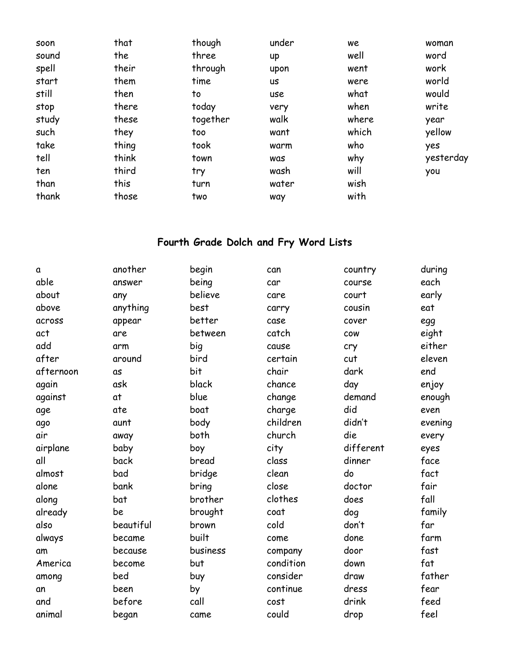| soon  | that  | though   | under | we    | woman     |
|-------|-------|----------|-------|-------|-----------|
| sound | the   | three    | up    | well  | word      |
| spell | their | through  | upon  | went  | work      |
| start | them  | time     | us    | were  | world     |
| still | then  | to       | use   | what  | would     |
| stop  | there | today    | very  | when  | write     |
| study | these | together | walk  | where | year      |
| such  | they  | too      | want  | which | yellow    |
| take  | thing | took     | warm  | who   | yes       |
| tell  | think | town     | was   | why   | yesterday |
| ten   | third | try      | wash  | will  | you       |
| than  | this  | turn     | water | wish  |           |
| thank | those | two      | way   | with  |           |

## **Fourth Grade Dolch and Fry Word Lists**

| a         | another   | begin       | can       | country    | during  |
|-----------|-----------|-------------|-----------|------------|---------|
| able      | answer    | being       | car       | course     | each    |
| about     | any       | believe     | care      | court      | early   |
| above     | anything  | <b>best</b> | carry     | cousin     | eat     |
| across    | appear    | better      | case      | cover      | egg     |
| act       | are       | between     | catch     | <b>COW</b> | eight   |
| add       | arm       | big         | cause     | cry        | either  |
| after     | around    | bird        | certain   | cut        | eleven  |
| afternoon | as        | bit         | chair     | dark       | end     |
| again     | ask       | black       | chance    | day        | enjoy   |
| against   | at        | blue        | change    | demand     | enough  |
| age       | ate       | boat        | charge    | did        | even    |
| ago       | aunt      | body        | children  | didn't     | evening |
| air       | away      | both        | church    | die        | every   |
| airplane  | baby      | boy         | city      | different  | eyes    |
| all       | back      | bread       | class     | dinner     | face    |
| almost    | bad       | bridge      | clean     | do         | fact    |
| alone     | bank      | bring       | close     | doctor     | fair    |
| along     | bat       | brother     | clothes   | does       | fall    |
| already   | be        | brought     | coat      | dog        | family  |
| also      | beautiful | brown       | cold      | don't      | far     |
| always    | became    | built       | come      | done       | farm    |
| am        | because   | business    | company   | door       | fast    |
| America   | become    | but         | condition | down       | fat     |
| among     | bed       | buy         | consider  | draw       | father  |
| an        | been      | by          | continue  | dress      | fear    |
| and       | before    | call        | cost      | drink      | feed    |
| animal    | began     | came        | could     | drop       | feel    |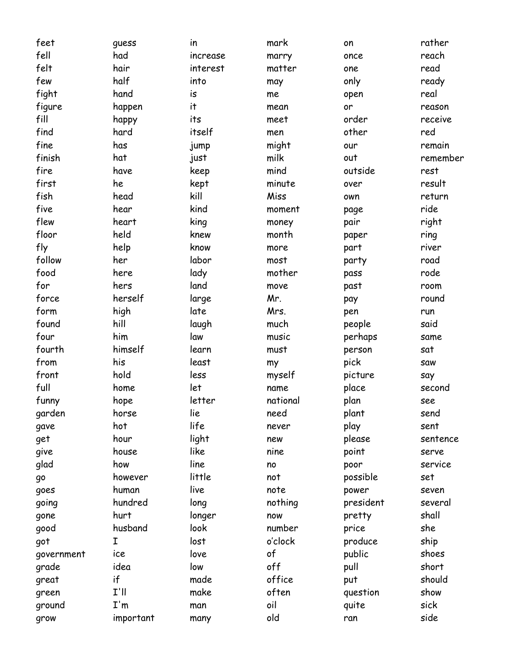| feet       | quess     | in       | mark     | on        | rather   |
|------------|-----------|----------|----------|-----------|----------|
| fell       | had       | increase | marry    | once      | reach    |
| felt       | hair      | interest | matter   | one       | read     |
| few        | half      | into     | may      | only      | ready    |
| fight      | hand      | is       | me       | open      | real     |
| figure     | happen    | it       | mean     | or        | reason   |
| fill       | happy     | its      | meet     | order     | receive  |
| find       | hard      | itself   | men      | other     | red      |
| fine       | has       | jump     | might    | our       | remain   |
| finish     | hat       | just     | milk     | out       | remember |
| fire       | have      | keep     | mind     | outside   | rest     |
| first      | he        | kept     | minute   | over      | result   |
| fish       | head      | kill     | Miss     | own       | return   |
| five       | hear      | kind     | moment   | page      | ride     |
| flew       | heart     | king     | money    | pair      | right    |
| floor      | held      | knew     | month    | paper     | ring     |
| fly        | help      | know     | more     | part      | river    |
| follow     | her       | labor    | most     | party     | road     |
| food       | here      | lady     | mother   | pass      | rode     |
| for        | hers      | land     | move     | past      | room     |
| force      | herself   | large    | Mr.      | pay       | round    |
| form       | high      | late     | Mrs.     | pen       | run      |
| found      | hill      | laugh    | much     | people    | said     |
| four       | him       | law      | music    | perhaps   | same     |
| fourth     | himself   | learn    | must     | person    | sat      |
| from       | his       | least    | my       | pick      | saw      |
| front      | hold      | less     | myself   | picture   | say      |
| full       | home      | let      | name     | place     | second   |
| funny      | hope      | letter   | national | plan      | see      |
| garden     | horse     | lie      | need     | plant     | send     |
| gave       | hot       | life     | never    | play      | sent     |
| get        | hour      | light    | new      | please    | sentence |
| give       | house     | like     | nine     | point     | serve    |
| glad       | how       | line     | no       | poor      | service  |
| go         | however   | little   | not      | possible  | set      |
| goes       | human     | live     | note     | power     | seven    |
| going      | hundred   | long     | nothing  | president | several  |
| gone       | hurt      | longer   | now      | pretty    | shall    |
| good       | husband   | look     | number   | price     | she      |
| got        | I         | lost     | o'clock  | produce   | ship     |
| government | ice       | love     | of       | public    | shoes    |
| grade      | idea      | low      | off      | pull      | short    |
| great      | if        | made     | office   | put       | should   |
| green      | $I'$ ll   | make     | often    | question  | show     |
| ground     | I'm       | man      | oil      | quite     | sick     |
| grow       | important | many     | old      | ran       | side     |